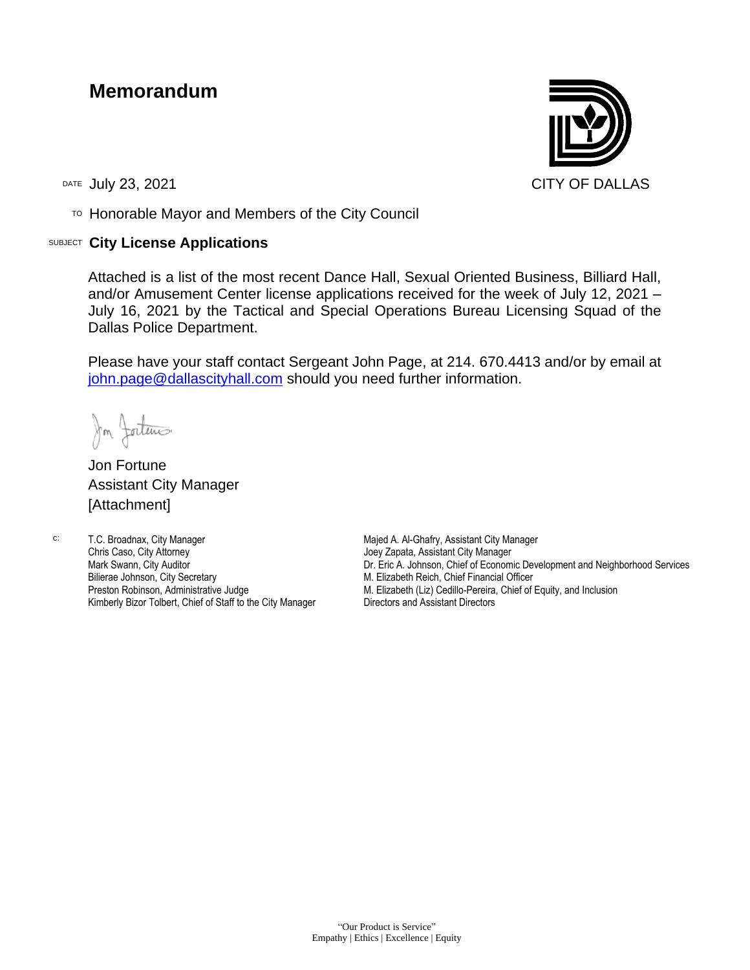## **Memorandum**

 $T$ <sup>O</sup> Honorable Mayor and Members of the City Council

## SUBJECT **City License Applications**



Attached is a list of the most recent Dance Hall, Sexual Oriented Business, Billiard Hall, and/or Amusement Center license applications received for the week of July 12, 2021 – July 16, 2021 by the Tactical and Special Operations Bureau Licensing Squad of the Dallas Police Department.

Please have your staff contact Sergeant John Page, at 214. 670.4413 and/or by email at [john.page@dallascityhall.com](mailto:john.page@dallascityhall.com) should you need further information.

In fortune

Jon Fortune Assistant City Manager [Attachment]

c: T.C. Broadnax, City Manager Chris Caso, City Attorney Mark Swann, City Auditor Bilierae Johnson, City Secretary Preston Robinson, Administrative Judge Kimberly Bizor Tolbert, Chief of Staff to the City Manager Majed A. Al-Ghafry, Assistant City Manager Joey Zapata, Assistant City Manager Dr. Eric A. Johnson, Chief of Economic Development and Neighborhood Services M. Elizabeth Reich, Chief Financial Officer M. Elizabeth (Liz) Cedillo-Pereira, Chief of Equity, and Inclusion Directors and Assistant Directors